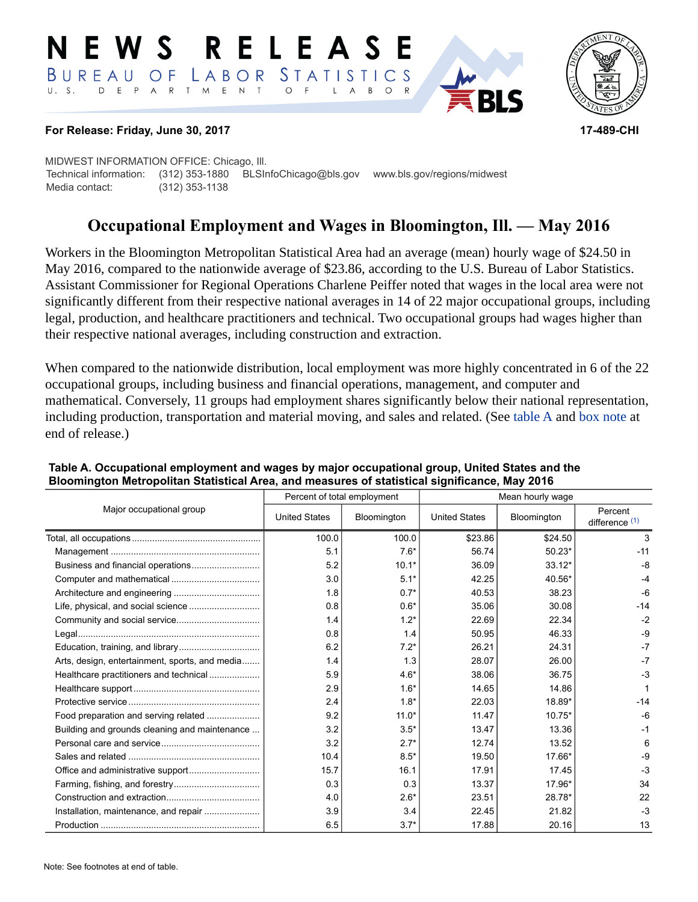#### RELEASE E W S LABOR STATISTICS BUREAU OF D E P A R T M E N T  $\circ$  $U. S.$  $\overline{F}$  $\mathsf{L}$  $\overline{A}$  $B$  $\circ$



#### **For Release: Friday, June 30, 2017 17-489-CHI**

MIDWEST INFORMATION OFFICE: Chicago, Ill. Technical information: (312) 353-1880 BLSInfoChicago@bls.gov www.bls.gov/regions/midwest Media contact: (312) 353-1138

# **Occupational Employment and Wages in Bloomington, Ill. — May 2016**

Workers in the Bloomington Metropolitan Statistical Area had an average (mean) hourly wage of \$24.50 in May 2016, compared to the nationwide average of \$23.86, according to the U.S. Bureau of Labor Statistics. Assistant Commissioner for Regional Operations Charlene Peiffer noted that wages in the local area were not significantly different from their respective national averages in 14 of 22 major occupational groups, including legal, production, and healthcare practitioners and technical. Two occupational groups had wages higher than their respective national averages, including construction and extraction.

When compared to the nationwide distribution, local employment was more highly concentrated in 6 of the 22 occupational groups, including business and financial operations, management, and computer and mathematical. Conversely, 11 groups had employment shares significantly below their national representation, including production, transportation and material moving, and sales and related. (See table A and [box note](#page-1-0) at end of release.)

| Major occupational group                       |                      | Percent of total employment | Mean hourly wage     |             |                             |  |
|------------------------------------------------|----------------------|-----------------------------|----------------------|-------------|-----------------------------|--|
|                                                | <b>United States</b> | Bloomington                 | <b>United States</b> | Bloomington | Percent<br>difference $(1)$ |  |
|                                                | 100.0                | 100.0                       | \$23.86              | \$24.50     | 3                           |  |
|                                                | 5.1                  | $7.6*$                      | 56.74                | $50.23*$    | $-11$                       |  |
|                                                | 5.2                  | $10.1*$                     | 36.09                | $33.12*$    | $-8$                        |  |
|                                                | 3.0                  | $5.1*$                      | 42.25                | 40.56*      | $-4$                        |  |
|                                                | 1.8                  | $0.7*$                      | 40.53                | 38.23       | $-6$                        |  |
|                                                | 0.8                  | $0.6*$                      | 35.06                | 30.08       | $-14$                       |  |
|                                                | 1.4                  | $1.2*$                      | 22.69                | 22.34       | $-2$                        |  |
|                                                | 0.8                  | 1.4                         | 50.95                | 46.33       | $-9$                        |  |
|                                                | 6.2                  | $7.2*$                      | 26.21                | 24.31       | $-7$                        |  |
| Arts, design, entertainment, sports, and media | 1.4                  | 1.3                         | 28.07                | 26.00       | $-7$                        |  |
| Healthcare practitioners and technical         | 5.9                  | $4.6*$                      | 38.06                | 36.75       | $-3$                        |  |
|                                                | 2.9                  | $1.6*$                      | 14.65                | 14.86       |                             |  |
|                                                | 2.4                  | $1.8*$                      | 22.03                | 18.89*      | $-14$                       |  |
| Food preparation and serving related           | 9.2                  | $11.0*$                     | 11.47                | $10.75*$    | $-6$                        |  |
| Building and grounds cleaning and maintenance  | 3.2                  | $3.5*$                      | 13.47                | 13.36       | $-1$                        |  |
|                                                | 3.2                  | $2.7*$                      | 12.74                | 13.52       | 6                           |  |
|                                                | 10.4                 | $8.5*$                      | 19.50                | 17.66*      | $-9$                        |  |
|                                                | 15.7                 | 16.1                        | 17.91                | 17.45       | $-3$                        |  |
|                                                | 0.3                  | 0.3                         | 13.37                | 17.96*      | 34                          |  |
|                                                | 4.0                  | $2.6*$                      | 23.51                | 28.78*      | 22                          |  |
| Installation, maintenance, and repair          | 3.9                  | 3.4                         | 22.45                | 21.82       | $-3$                        |  |
|                                                | 6.5                  | $3.7*$                      | 17.88                | 20.16       | 13                          |  |

### **Table A. Occupational employment and wages by major occupational group, United States and the Bloomington Metropolitan Statistical Area, and measures of statistical significance, May 2016**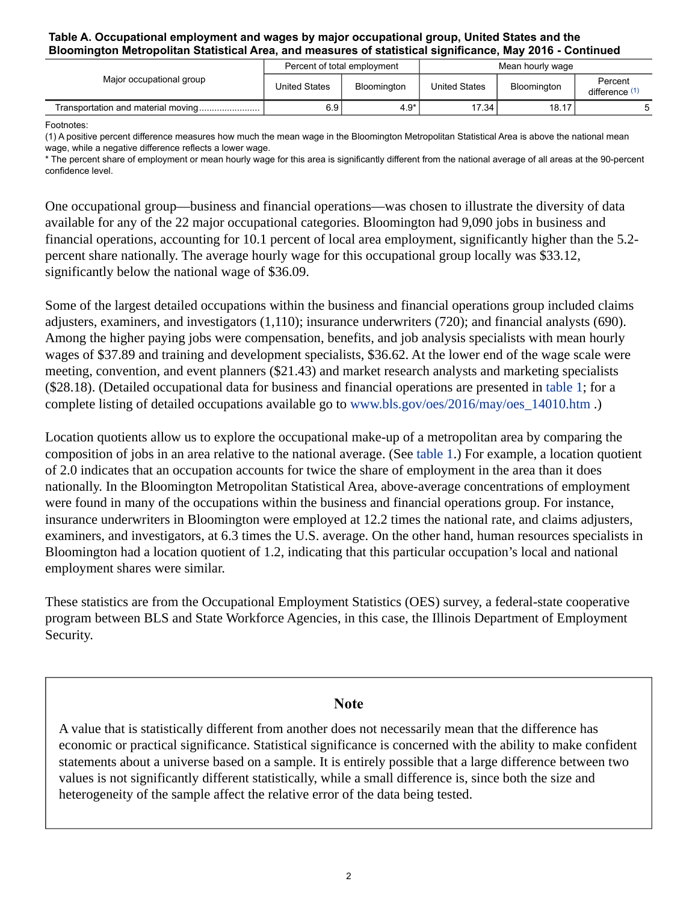#### **Table A. Occupational employment and wages by major occupational group, United States and the Bloomington Metropolitan Statistical Area, and measures of statistical significance, May 2016 - Continued**

| Major occupational group           | Percent of total employment |                    | Mean hourly wage     |             |                           |
|------------------------------------|-----------------------------|--------------------|----------------------|-------------|---------------------------|
|                                    | United States               | <b>Bloomington</b> | <b>United States</b> | Bloomington | Percent<br>difference (1) |
| Transportation and material moving | 6.9                         | $4.9*$             | 17.34                | 18.17       |                           |

Footnotes:

\* The percent share of employment or mean hourly wage for this area is significantly different from the national average of all areas at the 90-percent confidence level.

One occupational group—business and financial operations—was chosen to illustrate the diversity of data available for any of the 22 major occupational categories. Bloomington had 9,090 jobs in business and financial operations, accounting for 10.1 percent of local area employment, significantly higher than the 5.2 percent share nationally. The average hourly wage for this occupational group locally was \$33.12, significantly below the national wage of \$36.09.

Some of the largest detailed occupations within the business and financial operations group included claims adjusters, examiners, and investigators (1,110); insurance underwriters (720); and financial analysts (690). Among the higher paying jobs were compensation, benefits, and job analysis specialists with mean hourly wages of \$37.89 and training and development specialists, \$36.62. At the lower end of the wage scale were meeting, convention, and event planners (\$21.43) and market research analysts and marketing specialists (\$28.18). (Detailed occupational data for business and financial operations are presented in table 1; for a complete listing of detailed occupations available go to [www.bls.gov/oes/2016/may/oes\\_14010.htm](https://www.bls.gov/oes/2016/may/oes_14010.htm) .)

Location quotients allow us to explore the occupational make-up of a metropolitan area by comparing the composition of jobs in an area relative to the national average. (See table 1.) For example, a location quotient of 2.0 indicates that an occupation accounts for twice the share of employment in the area than it does nationally. In the Bloomington Metropolitan Statistical Area, above-average concentrations of employment were found in many of the occupations within the business and financial operations group. For instance, insurance underwriters in Bloomington were employed at 12.2 times the national rate, and claims adjusters, examiners, and investigators, at 6.3 times the U.S. average. On the other hand, human resources specialists in Bloomington had a location quotient of 1.2, indicating that this particular occupation's local and national employment shares were similar.

These statistics are from the Occupational Employment Statistics (OES) survey, a federal-state cooperative program between BLS and State Workforce Agencies, in this case, the Illinois Department of Employment Security.

# **Note**

<span id="page-1-0"></span>A value that is statistically different from another does not necessarily mean that the difference has economic or practical significance. Statistical significance is concerned with the ability to make confident statements about a universe based on a sample. It is entirely possible that a large difference between two values is not significantly different statistically, while a small difference is, since both the size and heterogeneity of the sample affect the relative error of the data being tested.

<span id="page-1-1"></span><sup>(1)</sup> A positive percent difference measures how much the mean wage in the Bloomington Metropolitan Statistical Area is above the national mean wage, while a negative difference reflects a lower wage.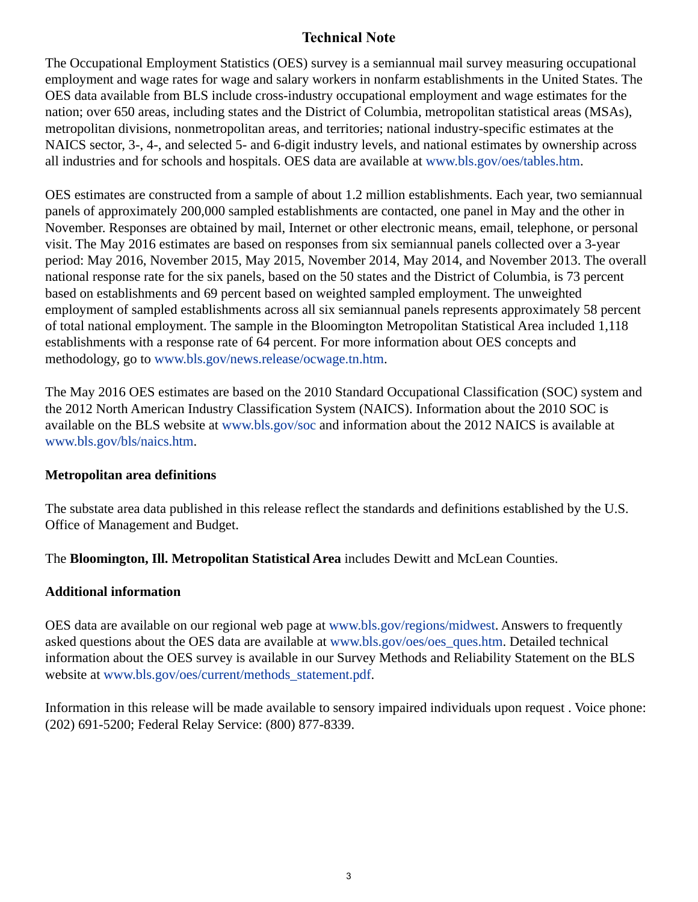# **Technical Note**

The Occupational Employment Statistics (OES) survey is a semiannual mail survey measuring occupational employment and wage rates for wage and salary workers in nonfarm establishments in the United States. The OES data available from BLS include cross-industry occupational employment and wage estimates for the nation; over 650 areas, including states and the District of Columbia, metropolitan statistical areas (MSAs), metropolitan divisions, nonmetropolitan areas, and territories; national industry-specific estimates at the NAICS sector, 3-, 4-, and selected 5- and 6-digit industry levels, and national estimates by ownership across all industries and for schools and hospitals. OES data are available at [www.bls.gov/oes/tables.htm](https://www.bls.gov/oes/tables.htm).

OES estimates are constructed from a sample of about 1.2 million establishments. Each year, two semiannual panels of approximately 200,000 sampled establishments are contacted, one panel in May and the other in November. Responses are obtained by mail, Internet or other electronic means, email, telephone, or personal visit. The May 2016 estimates are based on responses from six semiannual panels collected over a 3-year period: May 2016, November 2015, May 2015, November 2014, May 2014, and November 2013. The overall national response rate for the six panels, based on the 50 states and the District of Columbia, is 73 percent based on establishments and 69 percent based on weighted sampled employment. The unweighted employment of sampled establishments across all six semiannual panels represents approximately 58 percent of total national employment. The sample in the Bloomington Metropolitan Statistical Area included 1,118 establishments with a response rate of 64 percent. For more information about OES concepts and methodology, go to [www.bls.gov/news.release/ocwage.tn.htm.](https://www.bls.gov/news.release/ocwage.tn.htm)

The May 2016 OES estimates are based on the 2010 Standard Occupational Classification (SOC) system and the 2012 North American Industry Classification System (NAICS). Information about the 2010 SOC is available on the BLS website at [www.bls.gov/soc](https://www.bls.gov/soc) and information about the 2012 NAICS is available at [www.bls.gov/bls/naics.htm.](https://www.bls.gov/bls/naics.htm)

# **Metropolitan area definitions**

The substate area data published in this release reflect the standards and definitions established by the U.S. Office of Management and Budget.

The **Bloomington, Ill. Metropolitan Statistical Area** includes Dewitt and McLean Counties.

# **Additional information**

OES data are available on our regional web page at [www.bls.gov/regions/midwest](https://www.bls.gov/regions/midwest). Answers to frequently asked questions about the OES data are available at [www.bls.gov/oes/oes\\_ques.htm](https://www.bls.gov/oes/oes_ques.htm). Detailed technical information about the OES survey is available in our Survey Methods and Reliability Statement on the BLS website at [www.bls.gov/oes/current/methods\\_statement.pdf.](https://www.bls.gov/oes/current/methods_statement.pdf)

Information in this release will be made available to sensory impaired individuals upon request . Voice phone: (202) 691-5200; Federal Relay Service: (800) 877-8339.